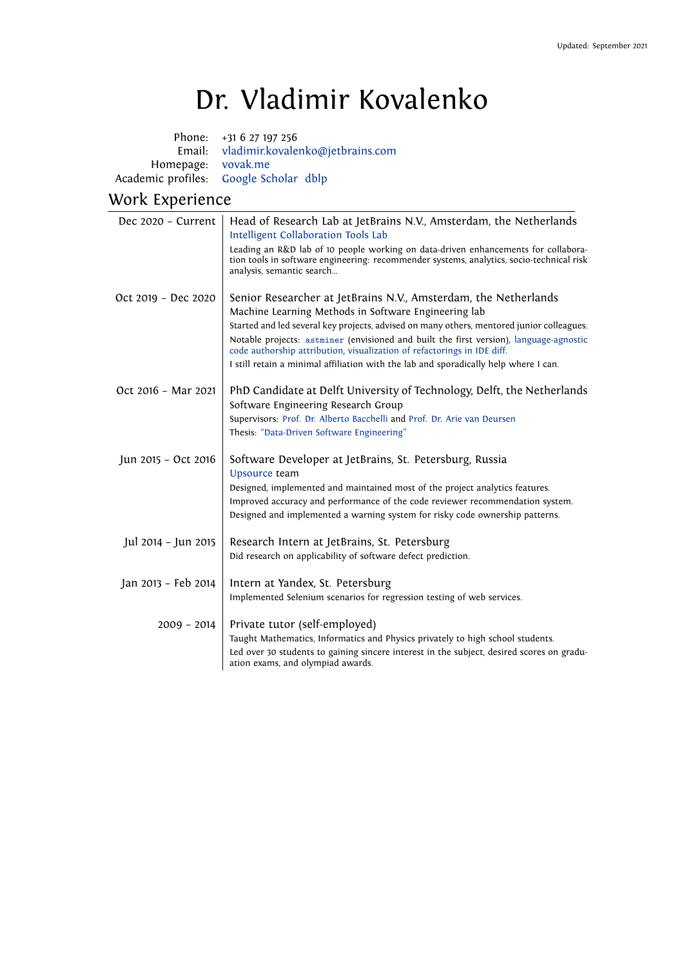## Dr. Vladimir Kovalenko

| Email: vladimir.kovalenko@jetbrains.com |
|-----------------------------------------|
|                                         |
|                                         |
|                                         |

## Work Experience

| Dec 2020 - Current  | Head of Research Lab at JetBrains N.V., Amsterdam, the Netherlands<br>Intelligent Collaboration Tools Lab                                                                                                                                                                                                                                                                                                                                                                         |  |
|---------------------|-----------------------------------------------------------------------------------------------------------------------------------------------------------------------------------------------------------------------------------------------------------------------------------------------------------------------------------------------------------------------------------------------------------------------------------------------------------------------------------|--|
|                     | Leading an R&D lab of 10 people working on data-driven enhancements for collabora-<br>tion tools in software engineering: recommender systems, analytics, socio-technical risk<br>analysis, semantic search                                                                                                                                                                                                                                                                       |  |
| Oct 2019 - Dec 2020 | Senior Researcher at JetBrains N.V., Amsterdam, the Netherlands<br>Machine Learning Methods in Software Engineering lab<br>Started and led several key projects, advised on many others, mentored junior colleagues.<br>Notable projects: astminer (envisioned and built the first version), language-agnostic<br>code authorship attribution, visualization of refactorings in IDE diff.<br>I still retain a minimal affiliation with the lab and sporadically help where I can. |  |
| Oct 2016 - Mar 2021 | PhD Candidate at Delft University of Technology, Delft, the Netherlands<br>Software Engineering Research Group<br>Supervisors: Prof. Dr. Alberto Bacchelli and Prof. Dr. Arie van Deursen<br>Thesis: "Data-Driven Software Engineering"                                                                                                                                                                                                                                           |  |
| Jun 2015 - Oct 2016 | Software Developer at JetBrains, St. Petersburg, Russia<br>Upsource team<br>Designed, implemented and maintained most of the project analytics features.<br>Improved accuracy and performance of the code reviewer recommendation system.<br>Designed and implemented a warning system for risky code ownership patterns.                                                                                                                                                         |  |
| Jul 2014 - Jun 2015 | Research Intern at JetBrains, St. Petersburg<br>Did research on applicability of software defect prediction.                                                                                                                                                                                                                                                                                                                                                                      |  |
| Jan 2013 - Feb 2014 | Intern at Yandex, St. Petersburg<br>Implemented Selenium scenarios for regression testing of web services.                                                                                                                                                                                                                                                                                                                                                                        |  |
| $2009 - 2014$       | Private tutor (self-employed)<br>Taught Mathematics, Informatics and Physics privately to high school students.<br>Led over 30 students to gaining sincere interest in the subject, desired scores on gradu-<br>ation exams, and olympiad awards.                                                                                                                                                                                                                                 |  |